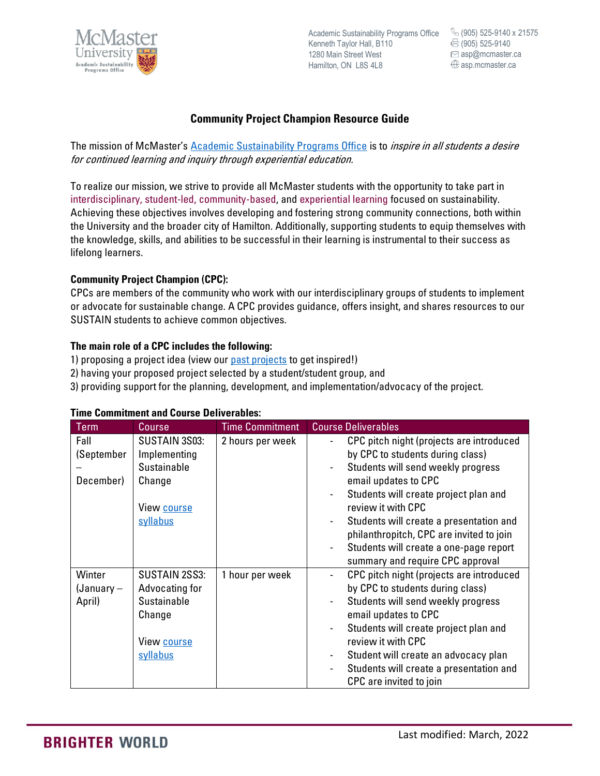

Academic Sustainability Programs Office Kenneth Taylor Hall, B110 1280 Main Street West Hamilton, ON L8S 4L8

(905) 525-9140 x 21575<br>(905) 525-9140<br>asp@mcmaster.ca (905) 525-9140  $\boxdot$  asp@mcmaster.ca asp.mcmaster.ca

# **Community Project Champion Resource Guide**

The mission of McMaster's [Academic Sustainability Programs Office](https://asp.mcmaster.ca/) is to *inspire in all students a desire* for continued learning and inquiry through experiential education.

To realize our mission, we strive to provide all McMaster students with the opportunity to take part in interdisciplinary, student-led, community-based, and experiential learning focused on sustainability. Achieving these objectives involves developing and fostering strong community connections, both within the University and the broader city of Hamilton. Additionally, supporting students to equip themselves with the knowledge, skills, and abilities to be successful in their learning is instrumental to their success as lifelong learners.

### **Community Project Champion (CPC):**

CPCs are members of the community who work with our interdisciplinary groups of students to implement or advocate for sustainable change. A CPC provides guidance, offers insight, and shares resources to our SUSTAIN students to achieve common objectives.

## **The main role of a CPC includes the following:**

- 1) proposing a project idea (view our [past projects](mailto:https://asp.mcmaster.ca/experiential-learning-projects/past-projects/) to get inspired!)
- 2) having your proposed project selected by a student/student group, and
- 3) providing support for the planning, development, and implementation/advocacy of the project.

| Term         | <b>Course</b>      | <b>Time Commitment</b> | <b>Course Deliverables</b>                                              |
|--------------|--------------------|------------------------|-------------------------------------------------------------------------|
| Fall         | SUSTAIN 3S03:      | 2 hours per week       | CPC pitch night (projects are introduced<br>$\blacksquare$              |
| (September   | Implementing       |                        | by CPC to students during class)                                        |
|              | Sustainable        |                        | Students will send weekly progress                                      |
| December)    | Change             |                        | email updates to CPC                                                    |
|              |                    |                        | Students will create project plan and                                   |
|              | View <u>course</u> |                        | review it with CPC                                                      |
|              | syllabus           |                        | Students will create a presentation and<br>$\qquad \qquad \blacksquare$ |
|              |                    |                        | philanthropitch, CPC are invited to join                                |
|              |                    |                        | Students will create a one-page report<br>$\blacksquare$                |
|              |                    |                        | summary and require CPC approval                                        |
| Winter       | SUSTAIN 2SS3:      | 1 hour per week        | CPC pitch night (projects are introduced<br>$\blacksquare$              |
| $(January -$ | Advocating for     |                        | by CPC to students during class)                                        |
| April)       | <b>Sustainable</b> |                        | Students will send weekly progress                                      |
|              | Change             |                        | email updates to CPC                                                    |
|              |                    |                        | Students will create project plan and<br>$\qquad \qquad \blacksquare$   |
|              | View <u>course</u> |                        | review it with CPC                                                      |
|              | syllabus           |                        | Student will create an advocacy plan                                    |
|              |                    |                        | Students will create a presentation and<br>$\overline{\phantom{a}}$     |
|              |                    |                        | CPC are invited to join                                                 |

#### **Time Commitment and Course Deliverables:**